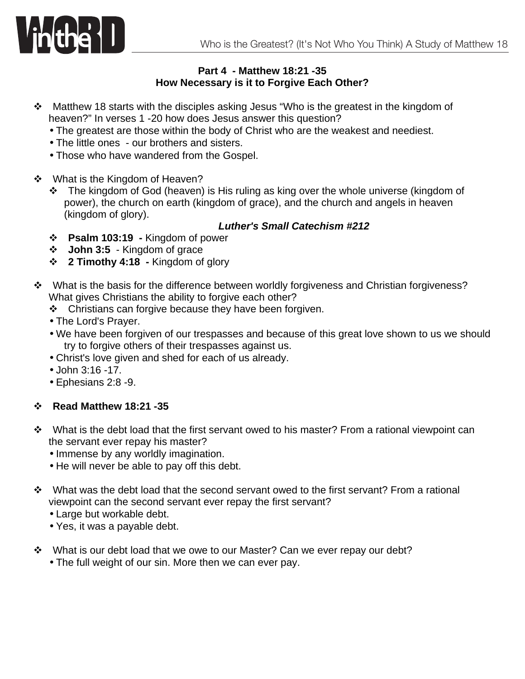

## **Part 4 - Matthew 18:21 -35 How Necessary is it to Forgive Each Other?**

- \* Matthew 18 starts with the disciples asking Jesus "Who is the greatest in the kingdom of heaven?" In verses 1 -20 how does Jesus answer this question?
	- The greatest are those within the body of Christ who are the weakest and neediest.
	- The little ones our brothers and sisters.
	- Those who have wandered from the Gospel.
- ❖ What is the Kingdom of Heaven?
	- \* The kingdom of God (heaven) is His ruling as king over the whole universe (kingdom of power), the church on earth (kingdom of grace), and the church and angels in heaven (kingdom of glory).

## *Luther's Small Catechism #212*

- v **Psalm 103:19 -** Kingdom of power
- v **John 3:5** Kingdom of grace
- v **2 Timothy 4:18 -** Kingdom of glory
- $\cdot$  What is the basis for the difference between worldly forgiveness and Christian forgiveness? What gives Christians the ability to forgive each other?
	- $\div$  Christians can forgive because they have been forgiven.
	- The Lord's Prayer.
	- We have been forgiven of our trespasses and because of this great love shown to us we should try to forgive others of their trespasses against us.
	- Christ's love given and shed for each of us already.
	- John 3:16 -17.
	- Ephesians 2:8 -9.

## v **Read Matthew 18:21 -35**

- $\cdot \cdot$  What is the debt load that the first servant owed to his master? From a rational viewpoint can the servant ever repay his master?
	- Immense by any worldly imagination.
	- He will never be able to pay off this debt.
- $\cdot \cdot$  What was the debt load that the second servant owed to the first servant? From a rational viewpoint can the second servant ever repay the first servant?
	- Large but workable debt.
	- Yes, it was a payable debt.
- ❖ What is our debt load that we owe to our Master? Can we ever repay our debt?
	- The full weight of our sin. More then we can ever pay.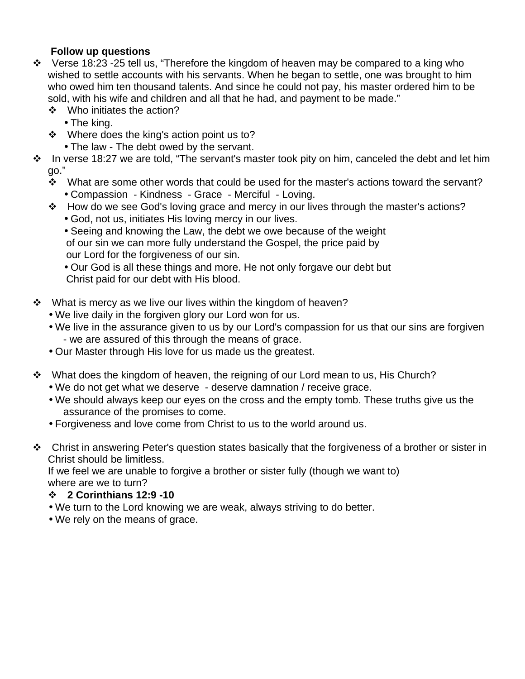## **Follow up questions**

- $\cdot$  Verse 18:23 -25 tell us, "Therefore the kingdom of heaven may be compared to a king who wished to settle accounts with his servants. When he began to settle, one was brought to him who owed him ten thousand talents. And since he could not pay, his master ordered him to be sold, with his wife and children and all that he had, and payment to be made."
	- ❖ Who initiates the action?
		- The king.
	- ❖ Where does the king's action point us to?
		- The law The debt owed by the servant.
- In verse 18:27 we are told, "The servant's master took pity on him, canceled the debt and let him  $\cdot$  $qo."$ 
	- $\cdot$  What are some other words that could be used for the master's actions toward the servant? • Compassion - Kindness - Grace - Merciful - Loving.
	- ❖ How do we see God's loving grace and mercy in our lives through the master's actions? • God, not us, initiates His loving mercy in our lives.
		- Seeing and knowing the Law, the debt we owe because of the weight of our sin we can more fully understand the Gospel, the price paid by our Lord for the forgiveness of our sin.

• Our God is all these things and more. He not only forgave our debt but Christ paid for our debt with His blood.

- ❖ What is mercy as we live our lives within the kingdom of heaven?
	- We live daily in the forgiven glory our Lord won for us.
	- We live in the assurance given to us by our Lord's compassion for us that our sins are forgiven - we are assured of this through the means of grace.
	- Our Master through His love for us made us the greatest.
- \* What does the kingdom of heaven, the reigning of our Lord mean to us, His Church?
	- We do not get what we deserve deserve damnation / receive grace.
	- We should always keep our eyes on the cross and the empty tomb. These truths give us the assurance of the promises to come.
	- Forgiveness and love come from Christ to us to the world around us.
- \* Christ in answering Peter's question states basically that the forgiveness of a brother or sister in Christ should be limitless.

If we feel we are unable to forgive a brother or sister fully (though we want to) where are we to turn?

- $\div$  2 Corinthians 12:9 -10
- . We turn to the Lord knowing we are weak, always striving to do better.
- We rely on the means of grace.